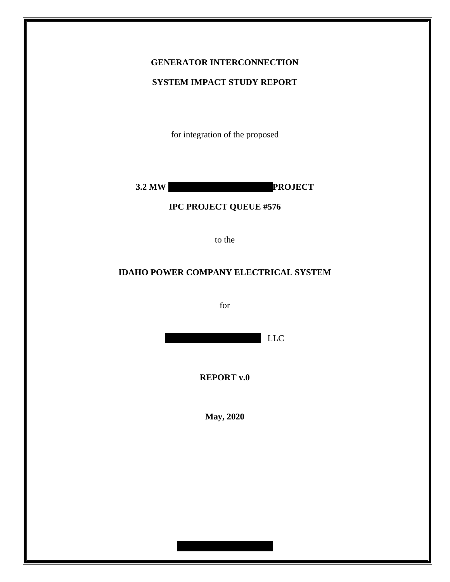## **GENERATOR INTERCONNECTION**

### **SYSTEM IMPACT STUDY REPORT**

for integration of the proposed

**3.2 MW PROJECT** 

### **IPC PROJECT QUEUE #576**

to the

### **IDAHO POWER COMPANY ELECTRICAL SYSTEM**

for

LLC

**REPORT v.0**

**May, 2020**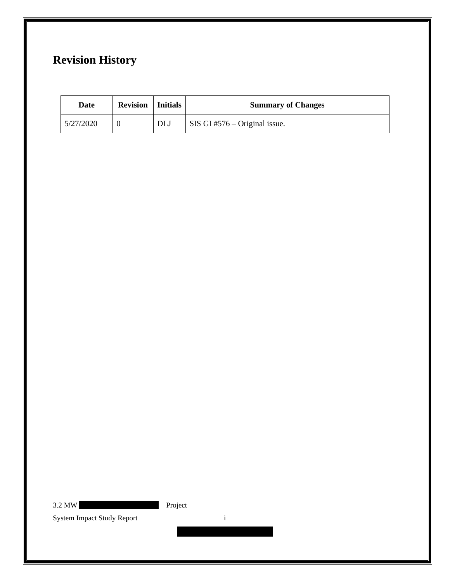# **Revision History**

| Date      | <b>Revision</b>   Initials |     | <b>Summary of Changes</b>     |
|-----------|----------------------------|-----|-------------------------------|
| 5/27/2020 |                            | DLJ | SIS GI #576 – Original issue. |

3.2 MW Project

System Impact Study Report i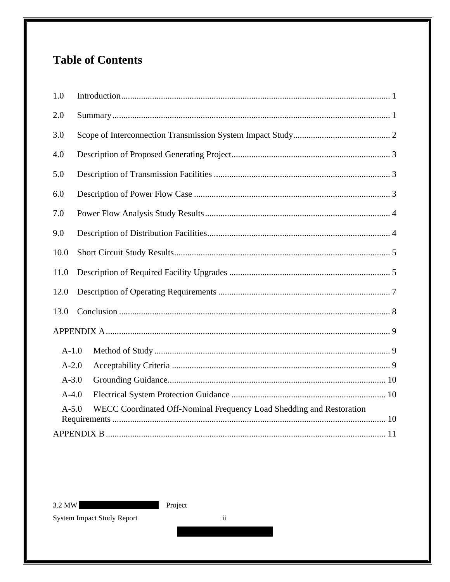# **Table of Contents**

| 1.0                                                                             |  |  |  |  |
|---------------------------------------------------------------------------------|--|--|--|--|
| 2.0                                                                             |  |  |  |  |
| 3.0                                                                             |  |  |  |  |
| 4.0                                                                             |  |  |  |  |
| 5.0                                                                             |  |  |  |  |
| 6.0                                                                             |  |  |  |  |
| 7.0                                                                             |  |  |  |  |
| 9.0                                                                             |  |  |  |  |
| 10.0                                                                            |  |  |  |  |
| 11.0                                                                            |  |  |  |  |
| 12.0                                                                            |  |  |  |  |
| 13.0                                                                            |  |  |  |  |
|                                                                                 |  |  |  |  |
| $A-1.0$                                                                         |  |  |  |  |
| $A-2.0$                                                                         |  |  |  |  |
| $A - 3.0$                                                                       |  |  |  |  |
| $A-4.0$                                                                         |  |  |  |  |
| WECC Coordinated Off-Nominal Frequency Load Shedding and Restoration<br>$A-5.0$ |  |  |  |  |
|                                                                                 |  |  |  |  |

 $3.2$  MW

Project

System Impact Study Report

 $\ddot{\mathbf{i}}$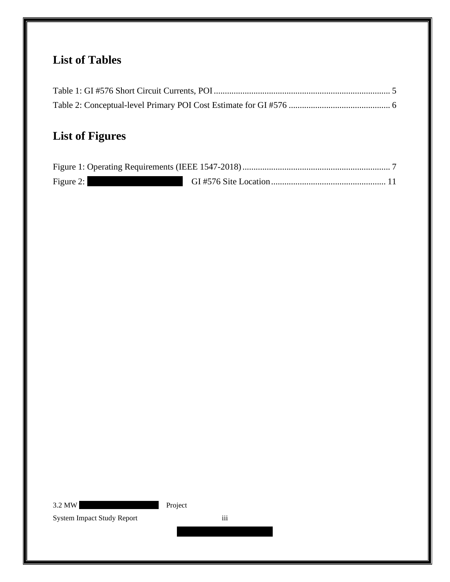# **List of Tables**

# **List of Figures**

| Figure 2: |  |
|-----------|--|

3.2 MW Project

System Impact Study Report iii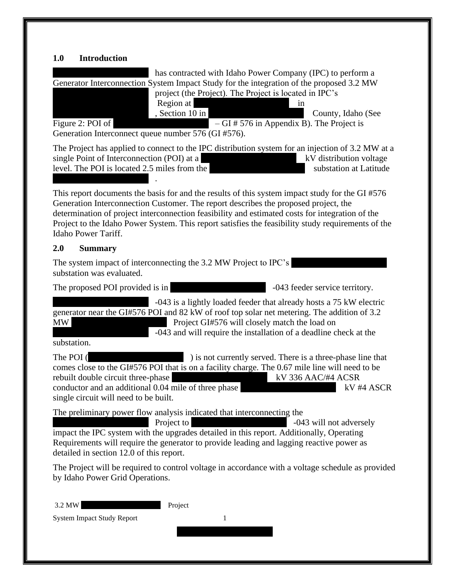## <span id="page-4-0"></span>**1.0 Introduction**

<span id="page-4-1"></span>

| has contracted with Idaho Power Company (IPC) to perform a<br>Generator Interconnection System Impact Study for the integration of the proposed 3.2 MW<br>project (the Project). The Project is located in IPC's<br>Region at<br>in<br>, Section 10 in<br>County, Idaho (See<br>Figure 2: POI of<br>$- GI \# 576$ in Appendix B). The Project is<br>Generation Interconnect queue number 576 (GI #576).                |
|------------------------------------------------------------------------------------------------------------------------------------------------------------------------------------------------------------------------------------------------------------------------------------------------------------------------------------------------------------------------------------------------------------------------|
| The Project has applied to connect to the IPC distribution system for an injection of 3.2 MW at a<br>single Point of Interconnection (POI) at a<br>kV distribution voltage<br>level. The POI is located 2.5 miles from the<br>substation at Latitude                                                                                                                                                                   |
| This report documents the basis for and the results of this system impact study for the GI #576<br>Generation Interconnection Customer. The report describes the proposed project, the<br>determination of project interconnection feasibility and estimated costs for integration of the<br>Project to the Idaho Power System. This report satisfies the feasibility study requirements of the<br>Idaho Power Tariff. |
| 2.0<br><b>Summary</b>                                                                                                                                                                                                                                                                                                                                                                                                  |
| The system impact of interconnecting the 3.2 MW Project to IPC's<br>substation was evaluated.                                                                                                                                                                                                                                                                                                                          |
| The proposed POI provided is in<br>-043 feeder service territory.                                                                                                                                                                                                                                                                                                                                                      |
| -043 is a lightly loaded feeder that already hosts a 75 kW electric<br>generator near the GI#576 POI and 82 kW of roof top solar net metering. The addition of 3.2<br><b>MW</b><br>Project GI#576 will closely match the load on<br>-043 and will require the installation of a deadline check at the<br>substation.                                                                                                   |
| The POI (<br>) is not currently served. There is a three-phase line that<br>comes close to the GI#576 POI that is on a facility charge. The 0.67 mile line will need to be<br>rebuilt double circuit three-phase<br>kV 336 AAC/#4 ACSR<br>conductor and an additional 0.04 mile of three phase<br>kV #4 ASCR<br>single circuit will need to be built.                                                                  |
| The preliminary power flow analysis indicated that interconnecting the<br>Project to<br>-043 will not adversely<br>impact the IPC system with the upgrades detailed in this report. Additionally, Operating<br>Requirements will require the generator to provide leading and lagging reactive power as<br>detailed in section 12.0 of this report.                                                                    |
| The Project will be required to control voltage in accordance with a voltage schedule as provided<br>by Idaho Power Grid Operations.                                                                                                                                                                                                                                                                                   |
| 3.2 MW<br>Project<br><b>System Impact Study Report</b><br>1                                                                                                                                                                                                                                                                                                                                                            |
|                                                                                                                                                                                                                                                                                                                                                                                                                        |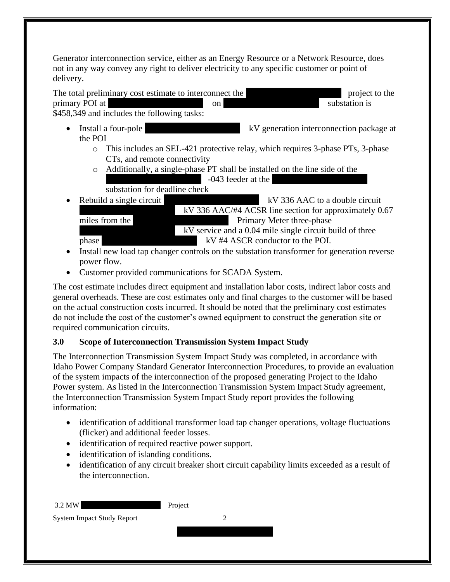Generator interconnection service, either as an Energy Resource or a Network Resource, does not in any way convey any right to deliver electricity to any specific customer or point of delivery.



- o This includes an SEL-421 protective relay, which requires 3-phase PTs, 3-phase CTs, and remote connectivity
- o Additionally, a single-phase PT shall be installed on the line side of the  $-043$  feeder at the

substation for deadline check

**• Rebuild a single circuit Example 18 AV 336 AAC to a double circuit**  $\overline{kV}$  336 AAC/#4 ACSR line section for approximately 0.67 miles from the XXXXXXXXXXXXXXX Primary Meter three-phase

 $kV$  service and a 0.04 mile single circuit build of three phase  $V#4$  ASCR conductor to the POI.

- Install new load tap changer controls on the substation transformer for generation reverse power flow.
- Customer provided communications for SCADA System.

The cost estimate includes direct equipment and installation labor costs, indirect labor costs and general overheads. These are cost estimates only and final charges to the customer will be based on the actual construction costs incurred. It should be noted that the preliminary cost estimates do not include the cost of the customer's owned equipment to construct the generation site or required communication circuits.

## <span id="page-5-0"></span>**3.0 Scope of Interconnection Transmission System Impact Study**

The Interconnection Transmission System Impact Study was completed, in accordance with Idaho Power Company Standard Generator Interconnection Procedures, to provide an evaluation of the system impacts of the interconnection of the proposed generating Project to the Idaho Power system. As listed in the Interconnection Transmission System Impact Study agreement, the Interconnection Transmission System Impact Study report provides the following information:

- identification of additional transformer load tap changer operations, voltage fluctuations (flicker) and additional feeder losses.
- identification of required reactive power support.
- identification of islanding conditions.
- identification of any circuit breaker short circuit capability limits exceeded as a result of the interconnection.

| 3.2 MW                            | Project |
|-----------------------------------|---------|
| <b>System Impact Study Report</b> |         |
|                                   |         |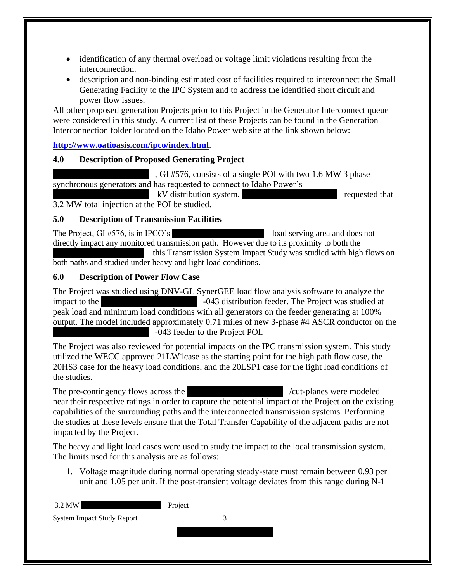- identification of any thermal overload or voltage limit violations resulting from the interconnection.
- description and non-binding estimated cost of facilities required to interconnect the Small Generating Facility to the IPC System and to address the identified short circuit and power flow issues.

All other proposed generation Projects prior to this Project in the Generator Interconnect queue were considered in this study. A current list of these Projects can be found in the Generation Interconnection folder located on the Idaho Power web site at the link shown below:

**<http://www.oatioasis.com/ipco/index.html>**.

#### <span id="page-6-0"></span>**4.0 Description of Proposed Generating Project**

 $\overline{X}$ , GI #576, consists of a single POI with two 1.6 MW 3 phase synchronous generators and has requested to connect to Idaho Power's

 $kV$  distribution system.  $kV$ 3.2 MW total injection at the POI be studied.

#### <span id="page-6-1"></span>**5.0 Description of Transmission Facilities**

The Project, GI #576, is in IPCO's load serving area and does not directly impact any monitored transmission path. However due to its proximity to both the this Transmission System Impact Study was studied with high flows on both paths and studied under heavy and light load conditions.

#### <span id="page-6-2"></span>**6.0 Description of Power Flow Case**

The Project was studied using DNV-GL SynerGEE load flow analysis software to analyze the impact to the  $-043$  distribution feeder. The Project was studied at peak load and minimum load conditions with all generators on the feeder generating at 100% output. The model included approximately 0.71 miles of new 3-phase #4 ASCR conductor on the -043 feeder to the Project POI.

The Project was also reviewed for potential impacts on the IPC transmission system. This study utilized the WECC approved 21LW1case as the starting point for the high path flow case, the 20HS3 case for the heavy load conditions, and the 20LSP1 case for the light load conditions of the studies.

The pre-contingency flows across the XXXXXXXXXXXXXXX /cut-planes were modeled near their respective ratings in order to capture the potential impact of the Project on the existing capabilities of the surrounding paths and the interconnected transmission systems. Performing the studies at these levels ensure that the Total Transfer Capability of the adjacent paths are not impacted by the Project.

The heavy and light load cases were used to study the impact to the local transmission system. The limits used for this analysis are as follows:

1. Voltage magnitude during normal operating steady-state must remain between 0.93 per unit and 1.05 per unit. If the post-transient voltage deviates from this range during N-1

| 3.2 MW                            | Project |  |
|-----------------------------------|---------|--|
| <b>System Impact Study Report</b> |         |  |
|                                   |         |  |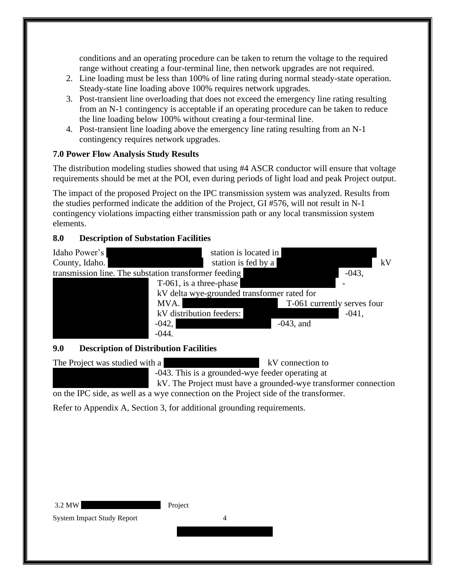conditions and an operating procedure can be taken to return the voltage to the required range without creating a four-terminal line, then network upgrades are not required.

- 2. Line loading must be less than 100% of line rating during normal steady-state operation. Steady-state line loading above 100% requires network upgrades.
- 3. Post-transient line overloading that does not exceed the emergency line rating resulting from an N-1 contingency is acceptable if an operating procedure can be taken to reduce the line loading below 100% without creating a four-terminal line.
- 4. Post-transient line loading above the emergency line rating resulting from an N-1 contingency requires network upgrades.

### <span id="page-7-0"></span>**7.0 Power Flow Analysis Study Results**

The distribution modeling studies showed that using #4 ASCR conductor will ensure that voltage requirements should be met at the POI, even during periods of light load and peak Project output.

The impact of the proposed Project on the IPC transmission system was analyzed. Results from the studies performed indicate the addition of the Project, GI #576, will not result in N-1 contingency violations impacting either transmission path or any local transmission system elements.

### **8.0 Description of Substation Facilities**



#### <span id="page-7-1"></span>**9.0 Description of Distribution Facilities**

The Project was studied with a XXXXXXXXXXXXXXX kV connection to  $-043$ . This is a grounded-wye feeder operating at kV. The Project must have a grounded-wye transformer connection on the IPC side, as well as a wye connection on the Project side of the transformer. Refer to Appendix A, Section 3, for additional grounding requirements.

 $X \times X \times X$ 

3.2 MW Project

System Impact Study Report 4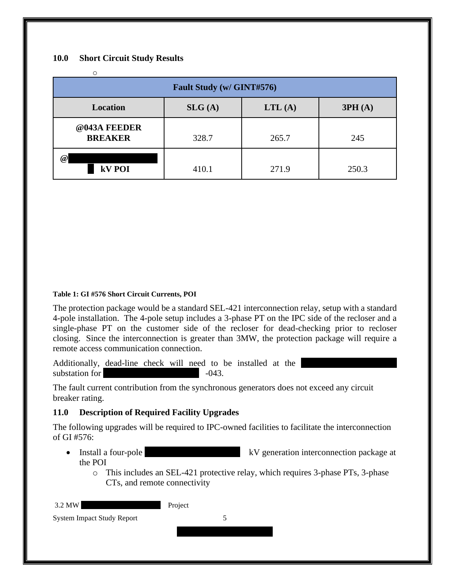#### <span id="page-8-0"></span>**10.0 Short Circuit Study Results**

| ∩                              |        |        |        |
|--------------------------------|--------|--------|--------|
| Fault Study (w/ GINT#576)      |        |        |        |
| <b>Location</b>                | SLG(A) | LTL(A) | 3PH(A) |
| @043A FEEDER<br><b>BREAKER</b> | 328.7  | 265.7  | 245    |
| $\omega$<br>kV POI             | 410.1  | 271.9  | 250.3  |

#### <span id="page-8-2"></span>**Table 1: GI #576 Short Circuit Currents, POI**

The protection package would be a standard SEL-421 interconnection relay, setup with a standard 4-pole installation. The 4-pole setup includes a 3-phase PT on the IPC side of the recloser and a single-phase PT on the customer side of the recloser for dead-checking prior to recloser closing. Since the interconnection is greater than 3MW, the protection package will require a remote access communication connection.

Additionally, dead-line check will need to be installed at the substation for  $-043$ .

The fault current contribution from the synchronous generators does not exceed any circuit breaker rating.

#### <span id="page-8-1"></span>**11.0 Description of Required Facility Upgrades**

The following upgrades will be required to IPC-owned facilities to facilitate the interconnection of GI #576:

- Install a four-pole  $kV$  generation interconnection package at the POI
	- o This includes an SEL-421 protective relay, which requires 3-phase PTs, 3-phase CTs, and remote connectivity

| 3.2 MW                            | Project |
|-----------------------------------|---------|
| <b>System Impact Study Report</b> |         |
|                                   |         |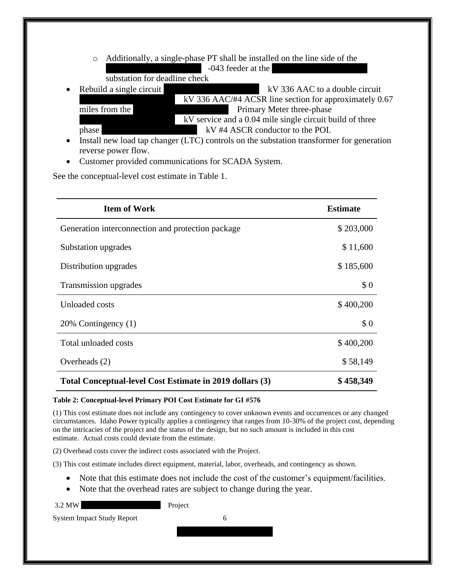- o Additionally, a single-phase PT shall be installed on the line side of the  $-043$  feeder at the
- substation for deadline check **• Rebuild a single circuit KV 336 AAC to a double circuit**  $kV$  336 AAC/#4 ACSR line section for approximately 0.67 miles from the XXXXXXXXXXXXXXX Primary Meter three-phase  $kV$  service and a 0.04 mile single circuit build of three phase  $V_{\text{A}}$  and  $V_{\text{A}}$  and  $V_{\text{A}}$  and  $V_{\text{A}}$  and  $V_{\text{B}}$  are  $V_{\text{B}}$  and  $V_{\text{B}}$  are  $V_{\text{B}}$  and  $V_{\text{B}}$  are  $V_{\text{B}}$  and  $V_{\text{B}}$  are  $V_{\text{B}}$  are  $V_{\text{B}}$  and  $V_{\text{B}}$  are  $V_{\text{B}}$  are  $V_{\text{$
- Install new load tap changer (LTC) controls on the substation transformer for generation reverse power flow.
- Customer provided communications for SCADA System.

See the conceptual-level cost estimate in Table 1.

| <b>Item of Work</b>                                      | <b>Estimate</b> |
|----------------------------------------------------------|-----------------|
| Generation interconnection and protection package        | \$203,000       |
| Substation upgrades                                      | \$11,600        |
| Distribution upgrades                                    | \$185,600       |
| Transmission upgrades                                    | \$0             |
| Unloaded costs                                           | \$400,200       |
| 20% Contingency (1)                                      | \$0             |
| Total unloaded costs                                     | \$400,200       |
| Overheads (2)                                            | \$58,149        |
| Total Conceptual-level Cost Estimate in 2019 dollars (3) | \$458,349       |

#### <span id="page-9-0"></span>**Table 2: Conceptual-level Primary POI Cost Estimate for GI #576**

(1) This cost estimate does not include any contingency to cover unknown events and occurrences or any changed circumstances. Idaho Power typically applies a contingency that ranges from 10-30% of the project cost, depending on the intricacies of the project and the status of the design, but no such amount is included in this cost estimate. Actual costs could deviate from the estimate.

(2) Overhead costs cover the indirect costs associated with the Project.

(3) This cost estimate includes direct equipment, material, labor, overheads, and contingency as shown.

- Note that this estimate does not include the cost of the customer's equipment/facilities.
- Note that the overhead rates are subject to change during the year.

3.2 MW Project

System Impact Study Report 6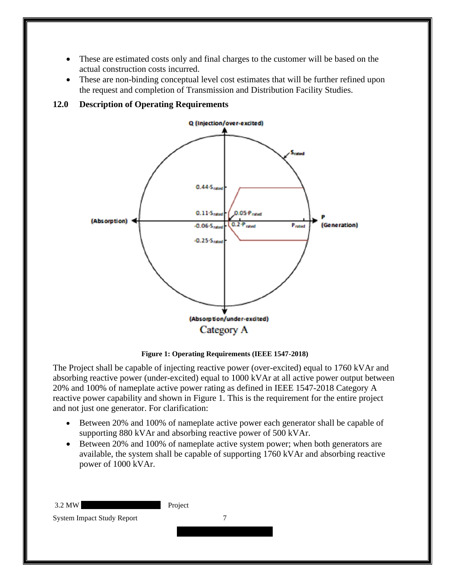- These are estimated costs only and final charges to the customer will be based on the actual construction costs incurred.
- These are non-binding conceptual level cost estimates that will be further refined upon the request and completion of Transmission and Distribution Facility Studies.

<span id="page-10-0"></span>



**Figure 1: Operating Requirements (IEEE 1547-2018)**

<span id="page-10-1"></span>The Project shall be capable of injecting reactive power (over-excited) equal to 1760 kVAr and absorbing reactive power (under-excited) equal to 1000 kVAr at all active power output between 20% and 100% of nameplate active power rating as defined in IEEE 1547-2018 Category A reactive power capability and shown in Figure 1. This is the requirement for the entire project and not just one generator. For clarification:

- Between 20% and 100% of nameplate active power each generator shall be capable of supporting 880 kVAr and absorbing reactive power of 500 kVAr.
- Between 20% and 100% of nameplate active system power; when both generators are available, the system shall be capable of supporting 1760 kVAr and absorbing reactive power of 1000 kVAr.

| 3.2 MW                            | Project |
|-----------------------------------|---------|
| <b>System Impact Study Report</b> |         |
|                                   |         |
|                                   |         |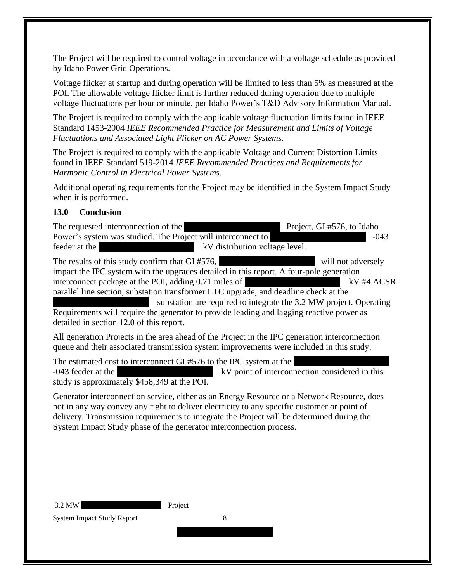The Project will be required to control voltage in accordance with a voltage schedule as provided by Idaho Power Grid Operations.

Voltage flicker at startup and during operation will be limited to less than 5% as measured at the POI. The allowable voltage flicker limit is further reduced during operation due to multiple voltage fluctuations per hour or minute, per Idaho Power's T&D Advisory Information Manual.

The Project is required to comply with the applicable voltage fluctuation limits found in IEEE Standard 1453-2004 *IEEE Recommended Practice for Measurement and Limits of Voltage Fluctuations and Associated Light Flicker on AC Power Systems.* 

The Project is required to comply with the applicable Voltage and Current Distortion Limits found in IEEE Standard 519-2014 *IEEE Recommended Practices and Requirements for Harmonic Control in Electrical Power Systems*.

Additional operating requirements for the Project may be identified in the System Impact Study when it is performed.

#### <span id="page-11-0"></span>**13.0 Conclusion**

The requested interconnection of the XXXXXXXXXXXX Project, GI #576, to Idaho Power's system was studied. The Project will interconnect to  $-043$ feeder at the XXXXXXXXXXXXXXX kV distribution voltage level.

The results of this study confirm that  $GI \#576$ , will not adversely impact the IPC system with the upgrades detailed in this report. A four-pole generation interconnect package at the POI, adding 0.71 miles of XX #4 ACSR parallel line section, substation transformer LTC upgrade, and deadline check at the

substation are required to integrate the 3.2 MW project. Operating Requirements will require the generator to provide leading and lagging reactive power as detailed in section 12.0 of this report.

All generation Projects in the area ahead of the Project in the IPC generation interconnection queue and their associated transmission system improvements were included in this study.

The estimated cost to interconnect GI  $#576$  to the IPC system at the -043 feeder at the  $V$  point of interconnection considered in this study is approximately \$458,349 at the POI.

Generator interconnection service, either as an Energy Resource or a Network Resource, does not in any way convey any right to deliver electricity to any specific customer or point of delivery. Transmission requirements to integrate the Project will be determined during the System Impact Study phase of the generator interconnection process.

 $X \times X \times X$ 

3.2 MW Project

System Impact Study Report 8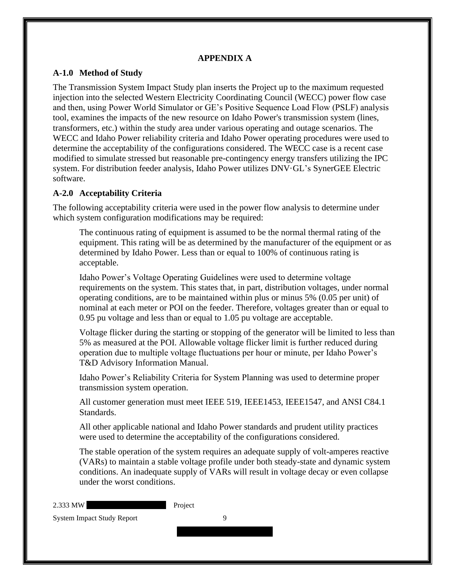#### **APPENDIX A**

#### <span id="page-12-1"></span><span id="page-12-0"></span>**A-1.0 Method of Study**

The Transmission System Impact Study plan inserts the Project up to the maximum requested injection into the selected Western Electricity Coordinating Council (WECC) power flow case and then, using Power World Simulator or GE's Positive Sequence Load Flow (PSLF) analysis tool, examines the impacts of the new resource on Idaho Power's transmission system (lines, transformers, etc.) within the study area under various operating and outage scenarios. The WECC and Idaho Power reliability criteria and Idaho Power operating procedures were used to determine the acceptability of the configurations considered. The WECC case is a recent case modified to simulate stressed but reasonable pre-contingency energy transfers utilizing the IPC system. For distribution feeder analysis, Idaho Power utilizes DNV·GL's SynerGEE Electric software.

#### <span id="page-12-2"></span>**A-2.0 Acceptability Criteria**

The following acceptability criteria were used in the power flow analysis to determine under which system configuration modifications may be required:

The continuous rating of equipment is assumed to be the normal thermal rating of the equipment. This rating will be as determined by the manufacturer of the equipment or as determined by Idaho Power. Less than or equal to 100% of continuous rating is acceptable.

Idaho Power's Voltage Operating Guidelines were used to determine voltage requirements on the system. This states that, in part, distribution voltages, under normal operating conditions, are to be maintained within plus or minus 5% (0.05 per unit) of nominal at each meter or POI on the feeder. Therefore, voltages greater than or equal to 0.95 pu voltage and less than or equal to 1.05 pu voltage are acceptable.

Voltage flicker during the starting or stopping of the generator will be limited to less than 5% as measured at the POI. Allowable voltage flicker limit is further reduced during operation due to multiple voltage fluctuations per hour or minute, per Idaho Power's T&D Advisory Information Manual.

Idaho Power's Reliability Criteria for System Planning was used to determine proper transmission system operation.

All customer generation must meet IEEE 519, IEEE1453, IEEE1547, and ANSI C84.1 Standards.

All other applicable national and Idaho Power standards and prudent utility practices were used to determine the acceptability of the configurations considered.

The stable operation of the system requires an adequate supply of volt-amperes reactive (VARs) to maintain a stable voltage profile under both steady-state and dynamic system conditions. An inadequate supply of VARs will result in voltage decay or even collapse under the worst conditions.

| 2.333 MW                          | Project |
|-----------------------------------|---------|
| <b>System Impact Study Report</b> |         |
|                                   |         |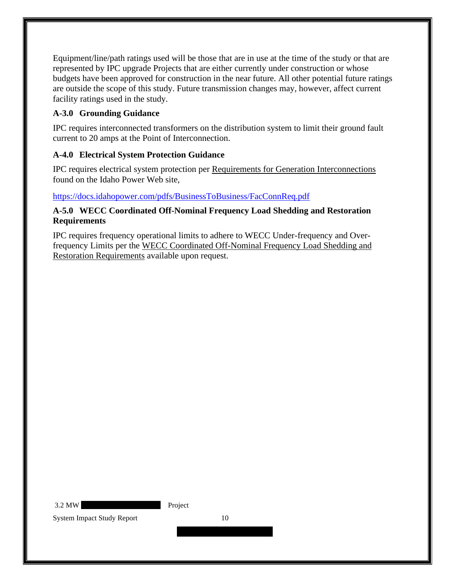Equipment/line/path ratings used will be those that are in use at the time of the study or that are represented by IPC upgrade Projects that are either currently under construction or whose budgets have been approved for construction in the near future. All other potential future ratings are outside the scope of this study. Future transmission changes may, however, affect current facility ratings used in the study.

### <span id="page-13-0"></span>**A-3.0 Grounding Guidance**

IPC requires interconnected transformers on the distribution system to limit their ground fault current to 20 amps at the Point of Interconnection.

### <span id="page-13-1"></span>**A-4.0 Electrical System Protection Guidance**

IPC requires electrical system protection per Requirements for Generation Interconnections found on the Idaho Power Web site,

### <https://docs.idahopower.com/pdfs/BusinessToBusiness/FacConnReq.pdf>

#### <span id="page-13-2"></span>**A-5.0 WECC Coordinated Off-Nominal Frequency Load Shedding and Restoration Requirements**

IPC requires frequency operational limits to adhere to WECC Under-frequency and Overfrequency Limits per the WECC Coordinated Off-Nominal Frequency Load Shedding and Restoration Requirements available upon request.

3.2 MW Project

System Impact Study Report 10